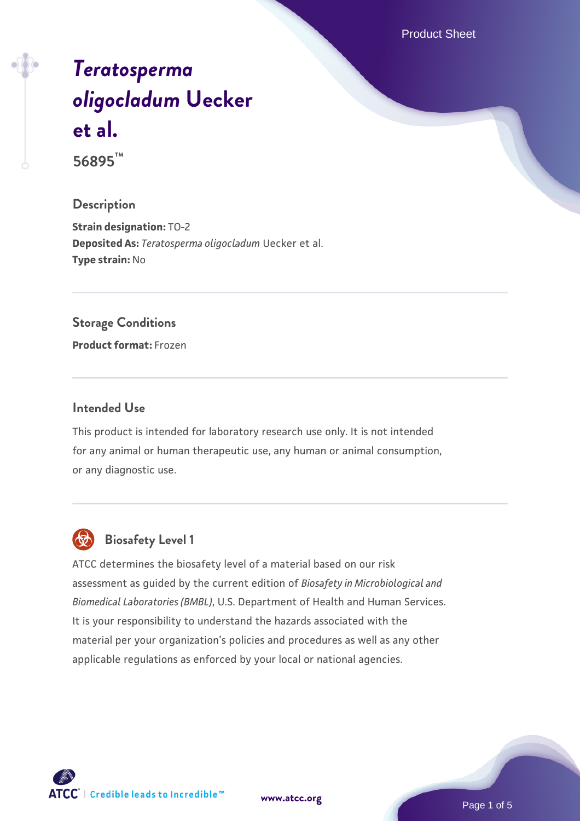Product Sheet

# *[Teratosperma](https://www.atcc.org/products/56895) [oligocladum](https://www.atcc.org/products/56895)* **[Uecker](https://www.atcc.org/products/56895) [et al.](https://www.atcc.org/products/56895)**

**56895™**

#### **Description**

**Strain designation:** TO-2 **Deposited As:** *Teratosperma oligocladum* Uecker et al. **Type strain:** No

#### **Storage Conditions**

**Product format:** Frozen

#### **Intended Use**

This product is intended for laboratory research use only. It is not intended for any animal or human therapeutic use, any human or animal consumption, or any diagnostic use.



## **Biosafety Level 1**

ATCC determines the biosafety level of a material based on our risk assessment as guided by the current edition of *Biosafety in Microbiological and Biomedical Laboratories (BMBL)*, U.S. Department of Health and Human Services. It is your responsibility to understand the hazards associated with the material per your organization's policies and procedures as well as any other applicable regulations as enforced by your local or national agencies.

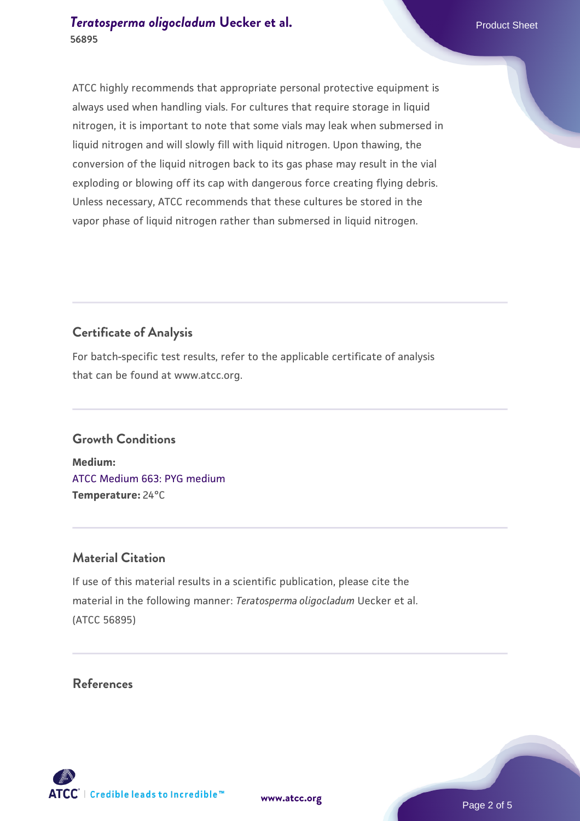#### *[Teratosperma oligocladum](https://www.atcc.org/products/56895)* **Uecker et al.** Product Sheet **56895**

ATCC highly recommends that appropriate personal protective equipment is always used when handling vials. For cultures that require storage in liquid nitrogen, it is important to note that some vials may leak when submersed in liquid nitrogen and will slowly fill with liquid nitrogen. Upon thawing, the conversion of the liquid nitrogen back to its gas phase may result in the vial exploding or blowing off its cap with dangerous force creating flying debris. Unless necessary, ATCC recommends that these cultures be stored in the vapor phase of liquid nitrogen rather than submersed in liquid nitrogen.

# **Certificate of Analysis**

For batch-specific test results, refer to the applicable certificate of analysis that can be found at www.atcc.org.

#### **Growth Conditions**

**Medium:**  [ATCC Medium 663: PYG medium](https://www.atcc.org/-/media/product-assets/documents/microbial-media-formulations/6/6/3/atcc-medium-663.pdf?rev=39d2fb8d4f224afdb850fb1c1ce4c471) **Temperature:** 24°C

## **Material Citation**

If use of this material results in a scientific publication, please cite the material in the following manner: *Teratosperma oligocladum* Uecker et al. (ATCC 56895)

#### **References**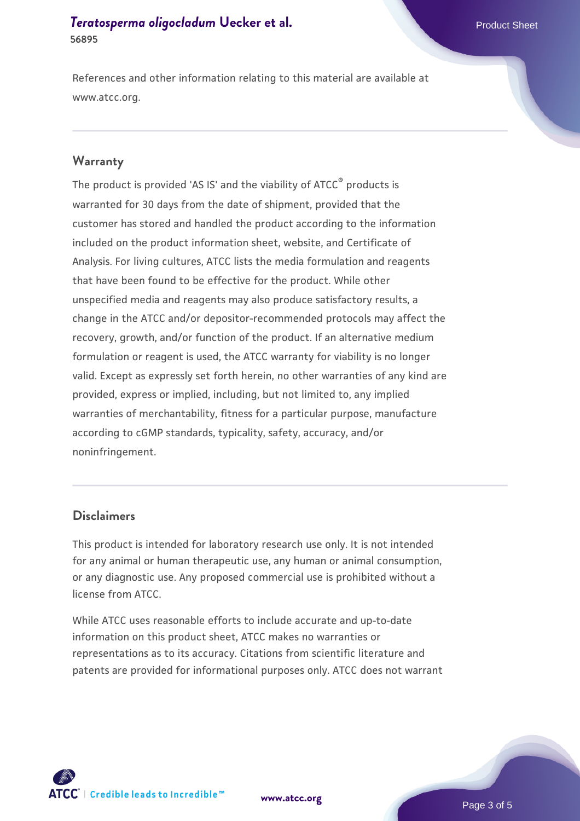#### *[Teratosperma oligocladum](https://www.atcc.org/products/56895)* **Uecker et al.** Product Sheet **56895**

References and other information relating to this material are available at www.atcc.org.

#### **Warranty**

The product is provided 'AS IS' and the viability of ATCC® products is warranted for 30 days from the date of shipment, provided that the customer has stored and handled the product according to the information included on the product information sheet, website, and Certificate of Analysis. For living cultures, ATCC lists the media formulation and reagents that have been found to be effective for the product. While other unspecified media and reagents may also produce satisfactory results, a change in the ATCC and/or depositor-recommended protocols may affect the recovery, growth, and/or function of the product. If an alternative medium formulation or reagent is used, the ATCC warranty for viability is no longer valid. Except as expressly set forth herein, no other warranties of any kind are provided, express or implied, including, but not limited to, any implied warranties of merchantability, fitness for a particular purpose, manufacture according to cGMP standards, typicality, safety, accuracy, and/or noninfringement.

#### **Disclaimers**

This product is intended for laboratory research use only. It is not intended for any animal or human therapeutic use, any human or animal consumption, or any diagnostic use. Any proposed commercial use is prohibited without a license from ATCC.

While ATCC uses reasonable efforts to include accurate and up-to-date information on this product sheet, ATCC makes no warranties or representations as to its accuracy. Citations from scientific literature and patents are provided for informational purposes only. ATCC does not warrant



**[www.atcc.org](http://www.atcc.org)**

Page 3 of 5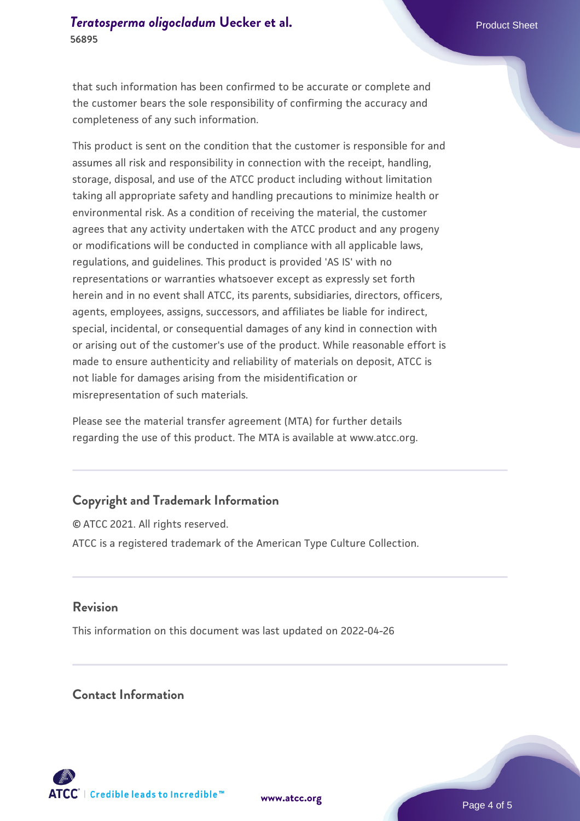#### *[Teratosperma oligocladum](https://www.atcc.org/products/56895)* [Uecker et al.](https://www.atcc.org/products/56895) **Product Sheet Allen Annual Product Sheet 56895**

that such information has been confirmed to be accurate or complete and the customer bears the sole responsibility of confirming the accuracy and completeness of any such information.

This product is sent on the condition that the customer is responsible for and assumes all risk and responsibility in connection with the receipt, handling, storage, disposal, and use of the ATCC product including without limitation taking all appropriate safety and handling precautions to minimize health or environmental risk. As a condition of receiving the material, the customer agrees that any activity undertaken with the ATCC product and any progeny or modifications will be conducted in compliance with all applicable laws, regulations, and guidelines. This product is provided 'AS IS' with no representations or warranties whatsoever except as expressly set forth herein and in no event shall ATCC, its parents, subsidiaries, directors, officers, agents, employees, assigns, successors, and affiliates be liable for indirect, special, incidental, or consequential damages of any kind in connection with or arising out of the customer's use of the product. While reasonable effort is made to ensure authenticity and reliability of materials on deposit, ATCC is not liable for damages arising from the misidentification or misrepresentation of such materials.

Please see the material transfer agreement (MTA) for further details regarding the use of this product. The MTA is available at www.atcc.org.

### **Copyright and Trademark Information**

© ATCC 2021. All rights reserved. ATCC is a registered trademark of the American Type Culture Collection.

#### **Revision**

This information on this document was last updated on 2022-04-26

#### **Contact Information**